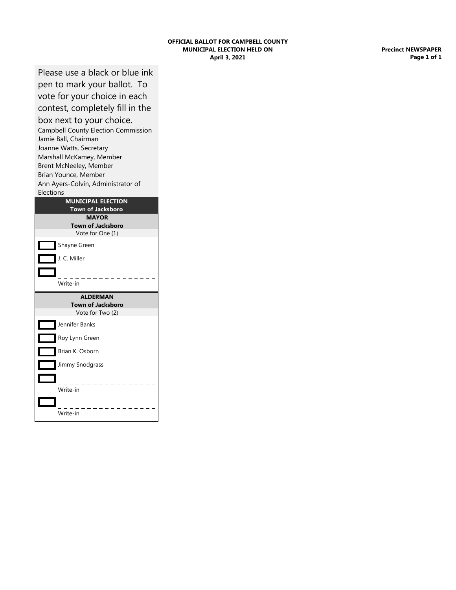## **April 3, 2021 OFFICIAL BALLOT FOR CAMPBELL COUNTY MUNICIPAL ELECTION HELD ON**

**Precinct NEWSPAPER Page 1 of 1**

Please use a black or blue ink pen to mark your ballot. To

vote for your choice in each contest, completely fill in the box next to your choice.

Campbell County Election Commission Jamie Ball, Chairman Joanne Watts, Secretary Marshall McKamey, Member Brent McNeeley, Member Brian Younce, Member Ann Ayers-Colvin, Administrator of Elections

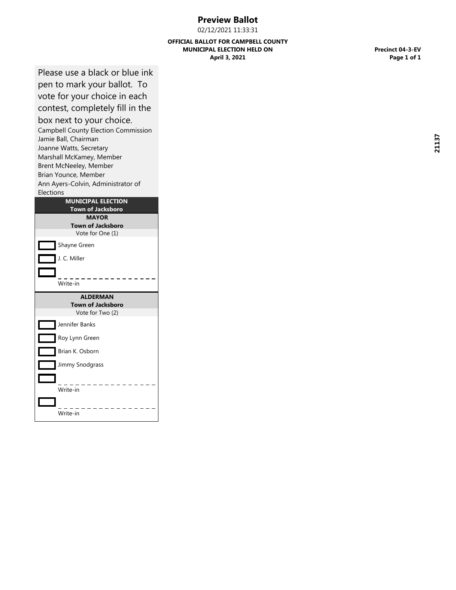## **Preview Ballot**

02/12/2021 11:33:31

## **April 3, 2021 OFFICIAL BALLOT FOR CAMPBELL COUNTY MUNICIPAL ELECTION HELD ON**

**Precinct 04-3-EV Page 1 of 1**

Please use a black or blue ink pen to mark your ballot. To

vote for your choice in each contest, completely fill in the

## box next to your choice.

Campbell County Election Commission Jamie Ball, Chairman Joanne Watts, Secretary Marshall McKamey, Member Brent McNeeley, Member Brian Younce, Member Ann Ayers-Colvin, Administrator of Elections